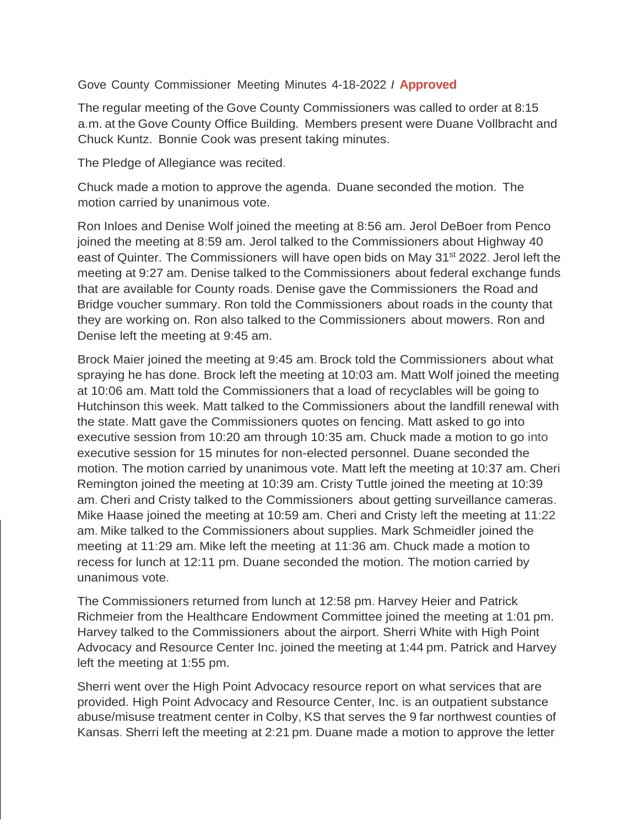Gove County Commissioner Meeting Minutes 4-18-2022 *I* **Approved**

The regular meeting of the Gove County Commissioners was called to order at 8:15 a.m. at the Gove County Office Building. Members present were Duane Vollbracht and Chuck Kuntz. Bonnie Cook was present taking minutes.

The Pledge of Allegiance was recited.

Chuck made a motion to approve the agenda. Duane seconded the motion. The motion carried by unanimous vote.

Ron Inloes and Denise Wolf joined the meeting at 8:56 am. Jerol DeBoer from Penco joined the meeting at 8:59 am. Jerol talked to the Commissioners about Highway 40 east of Quinter. The Commissioners will have open bids on May 31<sup>st</sup> 2022. Jerol left the meeting at 9:27 am. Denise talked to the Commissioners about federal exchange funds that are available for County roads. Denise gave the Commissioners the Road and Bridge voucher summary. Ron told the Commissioners about roads in the county that they are working on. Ron also talked to the Commissioners about mowers. Ron and Denise left the meeting at 9:45 am.

Brock Maier joined the meeting at 9:45 am. Brock told the Commissioners about what spraying he has done. Brock left the meeting at 10:03 am. Matt Wolf joined the meeting at 10:06 am. Matt told the Commissioners that a load of recyclables will be going to Hutchinson this week. Matt talked to the Commissioners about the landfill renewal with the state. Matt gave the Commissioners quotes on fencing. Matt asked to go into executive session from 10:20 am through 10:35 am. Chuck made a motion to go into executive session for 15 minutes for non-elected personnel. Duane seconded the motion. The motion carried by unanimous vote. Matt left the meeting at 10:37 am. Cheri Remington joined the meeting at 10:39 am. Cristy Tuttle joined the meeting at 10:39 am. Cheri and Cristy talked to the Commissioners about getting surveillance cameras. Mike Haase joined the meeting at 10:59 am. Cheri and Cristy left the meeting at 11:22 am. Mike talked to the Commissioners about supplies. Mark Schmeidler joined the meeting at 11:29 am. Mike left the meeting at 11:36 am. Chuck made a motion to recess for lunch at 12:11 pm. Duane seconded the motion. The motion carried by unanimous vote.

The Commissioners returned from lunch at 12:58 pm. Harvey Heier and Patrick Richmeier from the Healthcare Endowment Committee joined the meeting at 1:01 pm. Harvey talked to the Commissioners about the airport. Sherri White with High Point Advocacy and Resource Center Inc. joined the meeting at 1:44 pm. Patrick and Harvey left the meeting at 1:55 pm.

Sherri went over the High Point Advocacy resource report on what services that are provided. High Point Advocacy and Resource Center, Inc. is an outpatient substance abuse/misuse treatment center in Colby, KS that serves the 9 far northwest counties of Kansas. Sherri left the meeting at 2:21 pm. Duane made a motion to approve the letter